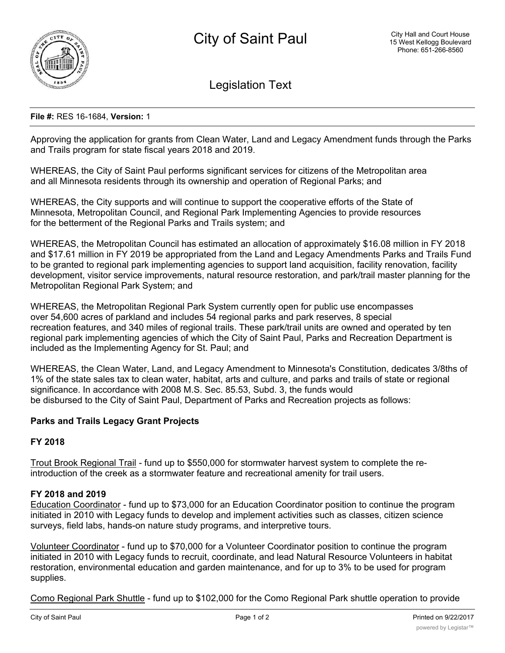

Legislation Text

### **File #:** RES 16-1684, **Version:** 1

Approving the application for grants from Clean Water, Land and Legacy Amendment funds through the Parks and Trails program for state fiscal years 2018 and 2019.

WHEREAS, the City of Saint Paul performs significant services for citizens of the Metropolitan area and all Minnesota residents through its ownership and operation of Regional Parks; and

WHEREAS, the City supports and will continue to support the cooperative efforts of the State of Minnesota, Metropolitan Council, and Regional Park Implementing Agencies to provide resources for the betterment of the Regional Parks and Trails system; and

WHEREAS, the Metropolitan Council has estimated an allocation of approximately \$16.08 million in FY 2018 and \$17.61 million in FY 2019 be appropriated from the Land and Legacy Amendments Parks and Trails Fund to be granted to regional park implementing agencies to support land acquisition, facility renovation, facility development, visitor service improvements, natural resource restoration, and park/trail master planning for the Metropolitan Regional Park System; and

WHEREAS, the Metropolitan Regional Park System currently open for public use encompasses over 54,600 acres of parkland and includes 54 regional parks and park reserves, 8 special recreation features, and 340 miles of regional trails. These park/trail units are owned and operated by ten regional park implementing agencies of which the City of Saint Paul, Parks and Recreation Department is included as the Implementing Agency for St. Paul; and

WHEREAS, the Clean Water, Land, and Legacy Amendment to Minnesota's Constitution, dedicates 3/8ths of 1% of the state sales tax to clean water, habitat, arts and culture, and parks and trails of state or regional significance. In accordance with 2008 M.S. Sec. 85.53, Subd. 3, the funds would be disbursed to the City of Saint Paul, Department of Parks and Recreation projects as follows:

## **Parks and Trails Legacy Grant Projects**

### **FY 2018**

Trout Brook Regional Trail - fund up to \$550,000 for stormwater harvest system to complete the reintroduction of the creek as a stormwater feature and recreational amenity for trail users.

### **FY 2018 and 2019**

Education Coordinator - fund up to \$73,000 for an Education Coordinator position to continue the program initiated in 2010 with Legacy funds to develop and implement activities such as classes, citizen science surveys, field labs, hands-on nature study programs, and interpretive tours.

Volunteer Coordinator - fund up to \$70,000 for a Volunteer Coordinator position to continue the program initiated in 2010 with Legacy funds to recruit, coordinate, and lead Natural Resource Volunteers in habitat restoration, environmental education and garden maintenance, and for up to 3% to be used for program supplies.

Como Regional Park Shuttle - fund up to \$102,000 for the Como Regional Park shuttle operation to provide